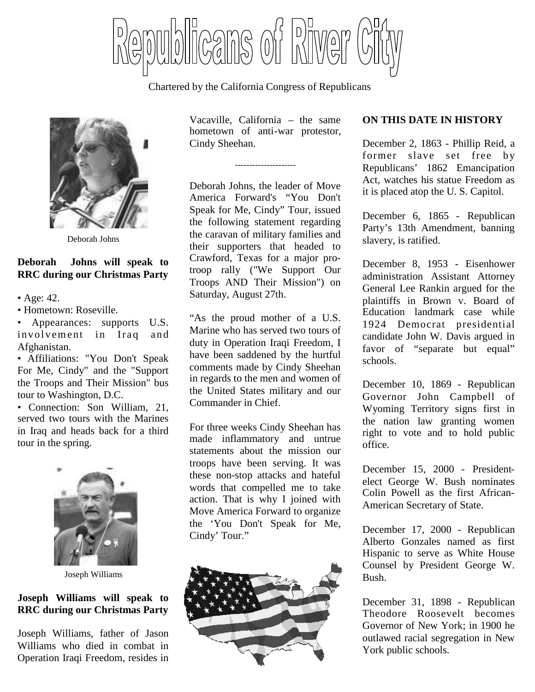Cans of Birver

Chartered by the California Congress of Republicans



Deborah Johns

### **Deborah Johns will speak to RRC during our Christmas Party**

- Age: 42.
- Hometown: Roseville.

• Appearances: supports U.S. involvement in Iraq and Afghanistan.

• Affiliations: "You Don't Speak For Me, Cindy" and the "Support the Troops and Their Mission" bus tour to Washington, D.C.

• Connection: Son William, 21, served two tours with the Marines in Iraq and heads back for a third tour in the spring.



Joseph Williams

#### **Joseph Williams will speak to RRC during our Christmas Party**

Joseph Williams, father of Jason Williams who died in combat in Operation Iraqi Freedom, resides in Vacaville, California – the same hometown of anti-war protestor, Cindy Sheehan.

---------------------

Deborah Johns, the leader of Move America Forward's "You Don't Speak for Me, Cindy" Tour, issued the following statement regarding the caravan of military families and their supporters that headed to Crawford, Texas for a major protroop rally ("We Support Our Troops AND Their Mission") on Saturday, August 27th.

"As the proud mother of a U.S. Marine who has served two tours of duty in Operation Iraqi Freedom, I have been saddened by the hurtful comments made by Cindy Sheehan in regards to the men and women of the United States military and our Commander in Chief.

For three weeks Cindy Sheehan has made inflammatory and untrue statements about the mission our troops have been serving. It was these non-stop attacks and hateful words that compelled me to take action. That is why I joined with Move America Forward to organize the 'You Don't Speak for Me, Cindy' Tour."



# **ON THIS DATE IN HISTORY**

December 2, 1863 - Phillip Reid, a former slave set free by Republicans' 1862 Emancipation Act, watches his statue Freedom as it is placed atop the U. S. Capitol.

December 6, 1865 - Republican Party's 13th Amendment, banning slavery, is ratified.

December 8, 1953 - Eisenhower administration Assistant Attorney General Lee Rankin argued for the plaintiffs in Brown v. Board of Education landmark case while 1924 Democrat presidential candidate John W. Davis argued in favor of "separate but equal" schools.

December 10, 1869 - Republican Governor John Campbell of Wyoming Territory signs first in the nation law granting women right to vote and to hold public office.

December 15, 2000 - Presidentelect George W. Bush nominates Colin Powell as the first African-American Secretary of State.

December 17, 2000 - Republican Alberto Gonzales named as first Hispanic to serve as White House Counsel by President George W. Bush.

December 31, 1898 - Republican Theodore Roosevelt becomes Governor of New York; in 1900 he outlawed racial segregation in New York public schools.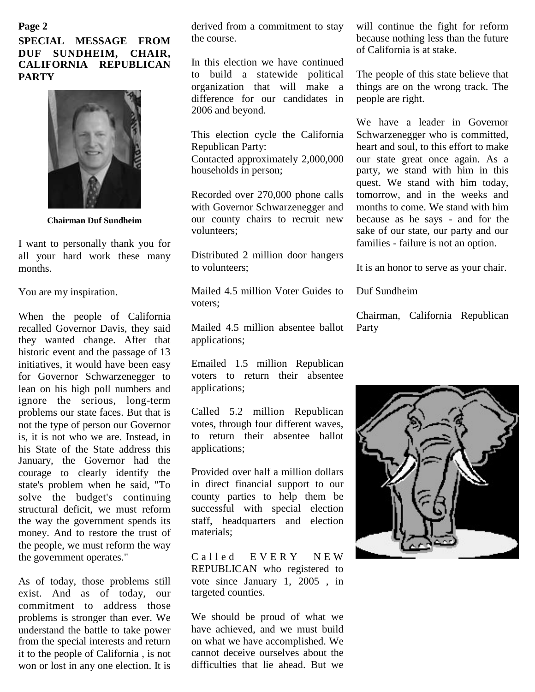#### **Page 2 SPECIAL MESSAGE FROM DUF SUNDHEIM, CHAIR, CALIFORNIA REPUBLICAN PARTY**



**Chairman Duf Sundheim**

I want to personally thank you for all your hard work these many months.

You are my inspiration.

When the people of California recalled Governor Davis, they said they wanted change. After that historic event and the passage of 13 initiatives, it would have been easy for Governor Schwarzenegger to lean on his high poll numbers and ignore the serious, long-term problems our state faces. But that is not the type of person our Governor is, it is not who we are. Instead, in his State of the State address this January, the Governor had the courage to clearly identify the state's problem when he said, "To solve the budget's continuing structural deficit, we must reform the way the government spends its money. And to restore the trust of the people, we must reform the way the government operates."

As of today, those problems still exist. And as of today, our commitment to address those problems is stronger than ever. We understand the battle to take power from the special interests and return it to the people of California , is not won or lost in any one election. It is

derived from a commitment to stay the course.

In this election we have continued to build a statewide political organization that will make a difference for our candidates in 2006 and beyond.

This election cycle the California Republican Party:

Contacted approximately 2,000,000 households in person;

Recorded over 270,000 phone calls with Governor Schwarzenegger and our county chairs to recruit new volunteers;

Distributed 2 million door hangers to volunteers;

Mailed 4.5 million Voter Guides to voters;

Mailed 4.5 million absentee ballot applications;

Emailed 1.5 million Republican voters to return their absentee applications;

Called 5.2 million Republican votes, through four different waves, to return their absentee ballot applications;

Provided over half a million dollars in direct financial support to our county parties to help them be successful with special election staff, headquarters and election materials;

Called EVERY NEW REPUBLICAN who registered to vote since January 1, 2005 , in targeted counties.

We should be proud of what we have achieved, and we must build on what we have accomplished. We cannot deceive ourselves about the difficulties that lie ahead. But we

will continue the fight for reform because nothing less than the future of California is at stake.

The people of this state believe that things are on the wrong track. The people are right.

We have a leader in Governor Schwarzenegger who is committed, heart and soul, to this effort to make our state great once again. As a party, we stand with him in this quest. We stand with him today, tomorrow, and in the weeks and months to come. We stand with him because as he says - and for the sake of our state, our party and our families - failure is not an option.

It is an honor to serve as your chair.

Duf Sundheim

Chairman, California Republican Party

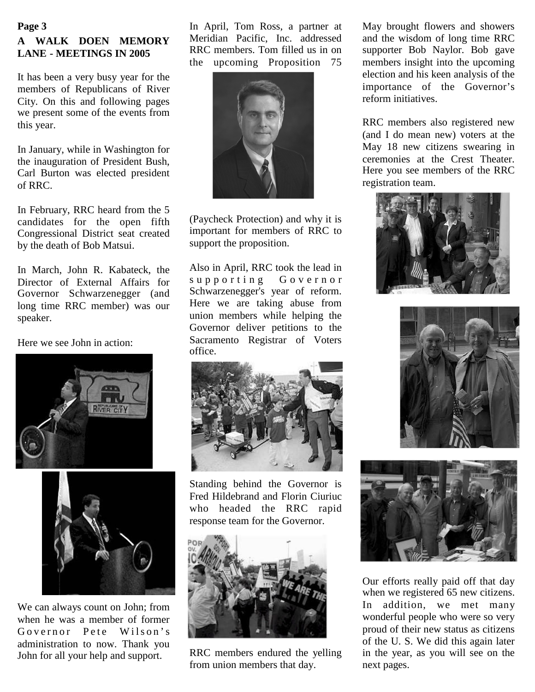# **A WALK DOEN MEMORY LANE - MEETINGS IN 2005 Page 3**

It has been a very busy year for the members of Republicans of River City. On this and following pages we present some of the events from this year.

In January, while in Washington for the inauguration of President Bush, Carl Burton was elected president of RRC.

In February, RRC heard from the 5 candidates for the open fifth Congressional District seat created by the death of Bob Matsui.

In March, John R. Kabateck, the Director of External Affairs for Governor Schwarzenegger (and long time RRC member) was our speaker.

Here we see John in action:





We can always count on John; from when he was a member of former Governor Pete Wilson's administration to now. Thank you John for all your help and support.

In April, Tom Ross, a partner at Meridian Pacific, Inc. addressed RRC members. Tom filled us in on the upcoming Proposition 75



(Paycheck Protection) and why it is important for members of RRC to support the proposition.

Also in April, RRC took the lead in supporting Governor Schwarzenegger's year of reform. Here we are taking abuse from union members while helping the Governor deliver petitions to the Sacramento Registrar of Voters office.



Standing behind the Governor is Fred Hildebrand and Florin Ciuriuc who headed the RRC rapid response team for the Governor.



RRC members endured the yelling from union members that day.

May brought flowers and showers and the wisdom of long time RRC supporter Bob Naylor. Bob gave members insight into the upcoming election and his keen analysis of the importance of the Governor's reform initiatives.

RRC members also registered new (and I do mean new) voters at the May 18 new citizens swearing in ceremonies at the Crest Theater. Here you see members of the RRC registration team.







Our efforts really paid off that day when we registered 65 new citizens. In addition, we met many wonderful people who were so very proud of their new status as citizens of the U. S. We did this again later in the year, as you will see on the next pages.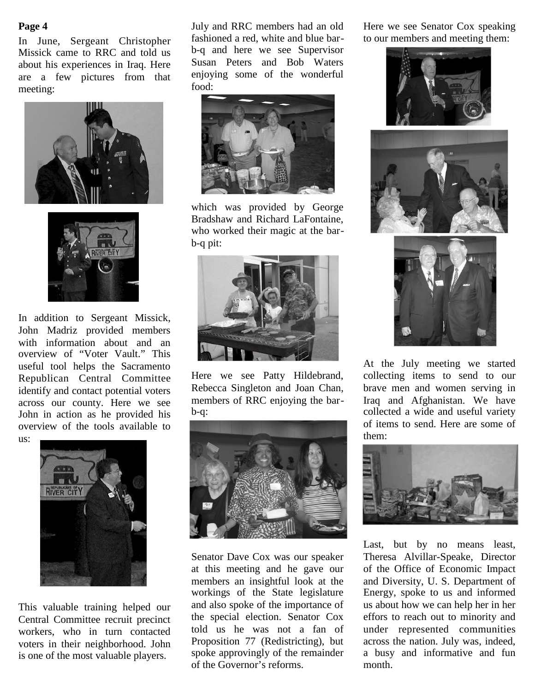In June, Sergeant Christopher Missick came to RRC and told us about his experiences in Iraq. Here are a few pictures from that meeting:





In addition to Sergeant Missick, John Madriz provided members with information about and an overview of "Voter Vault." This useful tool helps the Sacramento Republican Central Committee identify and contact potential voters across our county. Here we see John in action as he provided his overview of the tools available to us:



This valuable training helped our Central Committee recruit precinct workers, who in turn contacted voters in their neighborhood. John is one of the most valuable players.

**Page 4** Figure 3.1 July and RRC members had an old Here we see Senator Cox speaking fashioned a red, white and blue barb-q and here we see Supervisor Susan Peters and Bob Waters enjoying some of the wonderful food:



which was provided by George Bradshaw and Richard LaFontaine, who worked their magic at the barb-q pit:



Here we see Patty Hildebrand, Rebecca Singleton and Joan Chan, members of RRC enjoying the barb-q:



Senator Dave Cox was our speaker at this meeting and he gave our members an insightful look at the workings of the State legislature and also spoke of the importance of the special election. Senator Cox told us he was not a fan of Proposition 77 (Redistricting), but spoke approvingly of the remainder of the Governor's reforms.

to our members and meeting them:







At the July meeting we started collecting items to send to our brave men and women serving in Iraq and Afghanistan. We have collected a wide and useful variety of items to send. Here are some of them:



Last, but by no means least, Theresa Alvillar-Speake, Director of the Office of Economic Impact and Diversity, U. S. Department of Energy, spoke to us and informed us about how we can help her in her effors to reach out to minority and under represented communities across the nation. July was, indeed, a busy and informative and fun month.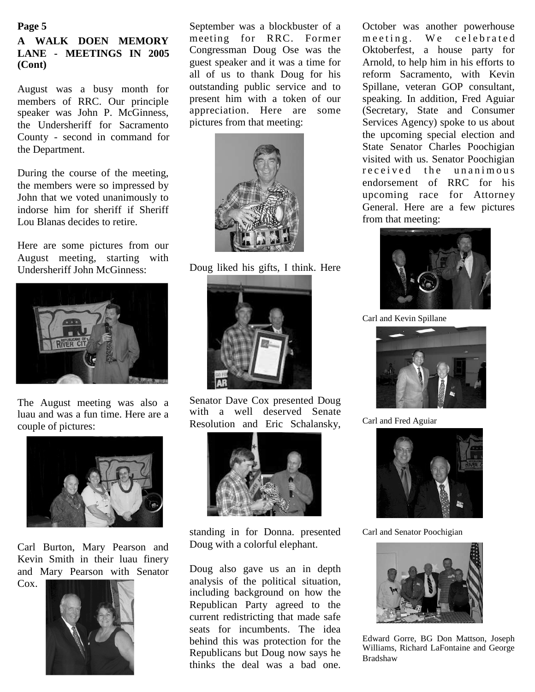### **Page 5 A WALK DOEN MEMORY LANE - MEETINGS IN 2005 (Cont)**

August was a busy month for members of RRC. Our principle speaker was John P. McGinness. the Undersheriff for Sacramento County - second in command for the Department.

During the course of the meeting, the members were so impressed by John that we voted unanimously to indorse him for sheriff if Sheriff Lou Blanas decides to retire.

Here are some pictures from our August meeting, starting with Undersheriff John McGinness:



The August meeting was also a luau and was a fun time. Here are a couple of pictures:



Carl Burton, Mary Pearson and Kevin Smith in their luau finery and Mary Pearson with Senator Cox.



September was a blockbuster of a meeting for RRC. Former Congressman Doug Ose was the guest speaker and it was a time for all of us to thank Doug for his outstanding public service and to present him with a token of our appreciation. Here are some pictures from that meeting:



Doug liked his gifts, I think. Here



Senator Dave Cox presented Doug with a well deserved Senate Resolution and Eric Schalansky,



standing in for Donna. presented Doug with a colorful elephant.

Doug also gave us an in depth analysis of the political situation, including background on how the Republican Party agreed to the current redistricting that made safe seats for incumbents. The idea behind this was protection for the Republicans but Doug now says he thinks the deal was a bad one.

October was another powerhouse meeting. We celebrated Oktoberfest, a house party for Arnold, to help him in his efforts to reform Sacramento, with Kevin Spillane, veteran GOP consultant, speaking. In addition, Fred Aguiar (Secretary, State and Consumer Services Agency) spoke to us about the upcoming special election and State Senator Charles Poochigian visited with us. Senator Poochigian received the unanimous endorsement of RRC for his upcoming race for Attorney General. Here are a few pictures from that meeting:



Carl and Kevin Spillane



Carl and Fred Aguiar



Carl and Senator Poochigian



Edward Gorre, BG Don Mattson, Joseph Williams, Richard LaFontaine and George Bradshaw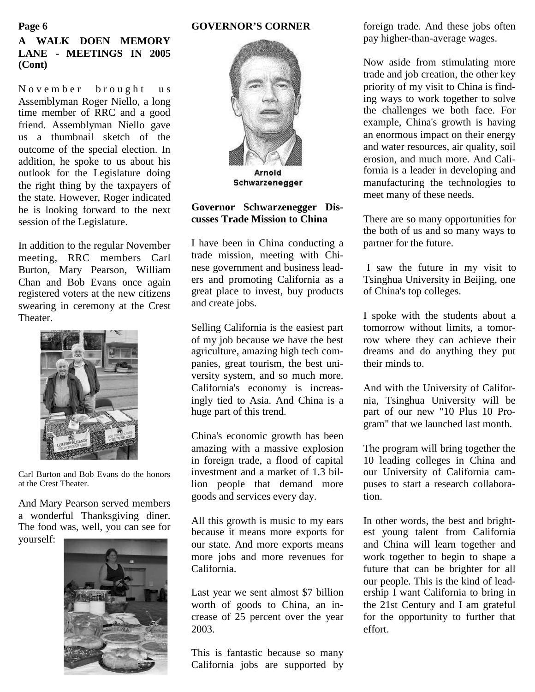#### **GOVERNOR'S CORNER**

## **A WALK DOEN MEMORY LANE - MEETINGS IN 2005 (Cont)**

**Page 6**

November brought us Assemblyman Roger Niello, a long time member of RRC and a good friend. Assemblyman Niello gave us a thumbnail sketch of the outcome of the special election. In addition, he spoke to us about his outlook for the Legislature doing the right thing by the taxpayers of the state. However, Roger indicated he is looking forward to the next session of the Legislature.

In addition to the regular November meeting, RRC members Carl Burton, Mary Pearson, William Chan and Bob Evans once again registered voters at the new citizens swearing in ceremony at the Crest Theater.



Carl Burton and Bob Evans do the honors at the Crest Theater.

And Mary Pearson served members a wonderful Thanksgiving diner. The food was, well, you can see for

yourself:





#### **Governor Schwarzenegger Discusses Trade Mission to China**

I have been in China conducting a trade mission, meeting with Chinese government and business leaders and promoting California as a great place to invest, buy products and create jobs.

Selling California is the easiest part of my job because we have the best agriculture, amazing high tech companies, great tourism, the best university system, and so much more. California's economy is increasingly tied to Asia. And China is a huge part of this trend.

China's economic growth has been amazing with a massive explosion in foreign trade, a flood of capital investment and a market of 1.3 billion people that demand more goods and services every day.

All this growth is music to my ears because it means more exports for our state. And more exports means more jobs and more revenues for California.

Last year we sent almost \$7 billion worth of goods to China, an increase of 25 percent over the year 2003.

This is fantastic because so many California jobs are supported by

foreign trade. And these jobs often pay higher-than-average wages.

Now aside from stimulating more trade and job creation, the other key priority of my visit to China is finding ways to work together to solve the challenges we both face. For example, China's growth is having an enormous impact on their energy and water resources, air quality, soil erosion, and much more. And California is a leader in developing and manufacturing the technologies to meet many of these needs.

There are so many opportunities for the both of us and so many ways to partner for the future.

I saw the future in my visit to Tsinghua University in Beijing, one of China's top colleges.

I spoke with the students about a tomorrow without limits, a tomorrow where they can achieve their dreams and do anything they put their minds to.

And with the University of California, Tsinghua University will be part of our new "10 Plus 10 Program" that we launched last month.

The program will bring together the 10 leading colleges in China and our University of California campuses to start a research collaboration.

In other words, the best and brightest young talent from California and China will learn together and work together to begin to shape a future that can be brighter for all our people. This is the kind of leadership I want California to bring in the 21st Century and I am grateful for the opportunity to further that effort.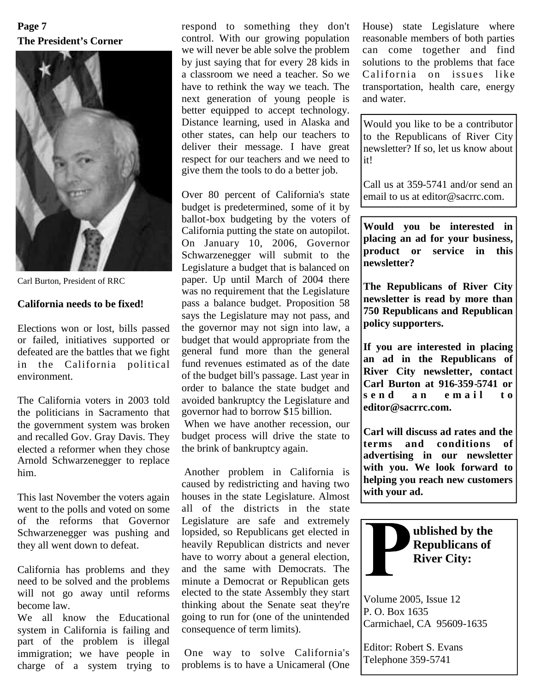# **The President's Corner Page 7**



Carl Burton, President of RRC

#### **California needs to be fixed!**

Elections won or lost, bills passed or failed, initiatives supported or defeated are the battles that we fight in the California political environment.

The California voters in 2003 told the politicians in Sacramento that the government system was broken and recalled Gov. Gray Davis. They elected a reformer when they chose Arnold Schwarzenegger to replace him.

This last November the voters again went to the polls and voted on some of the reforms that Governor Schwarzenegger was pushing and they all went down to defeat.

California has problems and they need to be solved and the problems will not go away until reforms become law.

We all know the Educational system in California is failing and part of the problem is illegal immigration; we have people in charge of a system trying to respond to something they don't control. With our growing population we will never be able solve the problem by just saying that for every 28 kids in a classroom we need a teacher. So we have to rethink the way we teach. The next generation of young people is better equipped to accept technology. Distance learning, used in Alaska and other states, can help our teachers to deliver their message. I have great respect for our teachers and we need to give them the tools to do a better job.

Over 80 percent of California's state budget is predetermined, some of it by ballot-box budgeting by the voters of California putting the state on autopilot. On January 10, 2006, Governor Schwarzenegger will submit to the Legislature a budget that is balanced on paper. Up until March of 2004 there was no requirement that the Legislature pass a balance budget. Proposition 58 says the Legislature may not pass, and the governor may not sign into law, a budget that would appropriate from the general fund more than the general fund revenues estimated as of the date of the budget bill's passage. Last year in order to balance the state budget and avoided bankruptcy the Legislature and governor had to borrow \$15 billion.

When we have another recession, our budget process will drive the state to  $\begin{bmatrix} \text{Carn w1} \\ \text{terms} \end{bmatrix}$ the brink of bankruptcy again.

Another problem in California is caused by redistricting and having two houses in the state Legislature. Almost all of the districts in the state Legislature are safe and extremely lopsided, so Republicans get elected in heavily Republican districts and never have to worry about a general election, and the same with Democrats. The minute a Democrat or Republican gets elected to the state Assembly they start thinking about the Senate seat they're going to run for (one of the unintended consequence of term limits).

One way to solve California's problems is to have a Unicameral (One House) state Legislature where reasonable members of both parties can come together and find solutions to the problems that face California on issues like transportation, health care, energy and water.

Would you like to be a contributor to the Republicans of River City newsletter? If so, let us know about it!

Call us at 359-5741 and/or send an email to us at editor@sacrrc.com.

**Would you be interested in placing an ad for your business, product or service in this newsletter?**

**The Republicans of River City newsletter is read by more than 750 Republicans and Republican policy supporters.**

**If you are interested in placing an ad in the Republicans of River City newsletter, contact Carl Burton at 916-359-5741 or s e n d a n e m a i l t o editor@sacrrc.com.**

**Carl will discuss ad rates and the** and conditions of **advertising in our newsletter with you. We look forward to helping you reach new customers with your ad.**



Volume 2005, Issue 12 P. O. Box 1635 Carmichael, CA 95609-1635

Editor: Robert S. Evans Telephone 359-5741